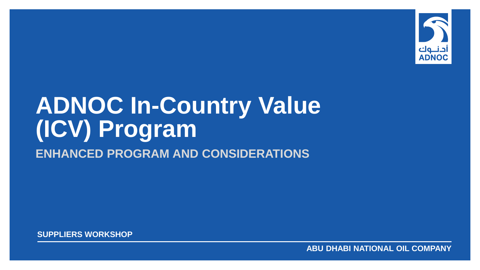

# **ADNOC In-Country Value (ICV) Program ENHANCED PROGRAM AND CONSIDERATIONS**

**SUPPLIERS WORKSHOP**

**ABU DHABI NATIONAL OIL COMPANY**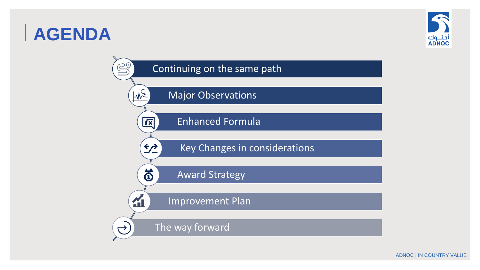### **AGENDA**



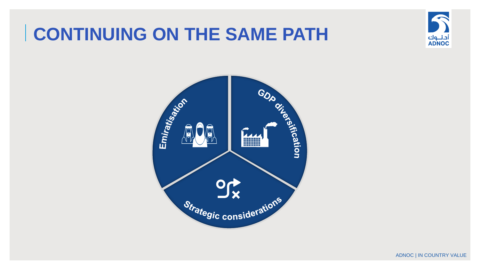#### **CONTINUING ON THE SAME PATH**



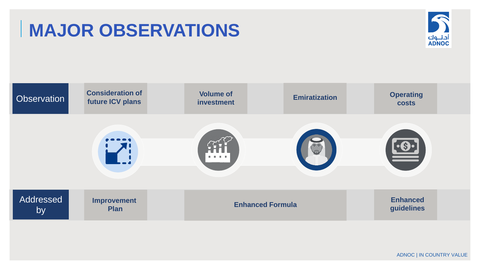### **MAJOR OBSERVATIONS**



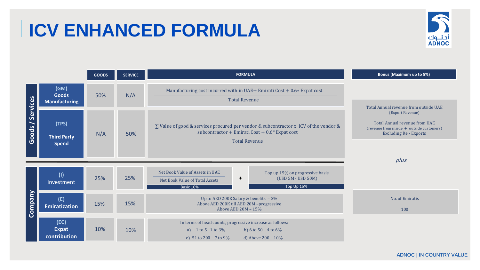# **ICV ENHANCED FORMULA**



|                  |                                              | <b>GOODS</b> | <b>SERVICE</b> | <b>FORMULA</b>                                                                                                                                                          | <b>Bonus (Maximum up to 5%)</b>                                                                                                                                                  |  |
|------------------|----------------------------------------------|--------------|----------------|-------------------------------------------------------------------------------------------------------------------------------------------------------------------------|----------------------------------------------------------------------------------------------------------------------------------------------------------------------------------|--|
|                  | (GM)<br><b>Goods</b><br><b>Manufacturing</b> | 50%          | N/A            | Manufacturing cost incurred with in UAE+ Emirati Cost + 0.6* Expat cost<br><b>Total Revenue</b>                                                                         | Total Annual revenue from outside UAE<br>(Export Revenue)<br>Total Annual revenue from UAE<br>(revenue from inside + outside customers)<br><b>Excluding Re - Exports</b><br>plus |  |
| Goods / Services | (TPS)<br><b>Third Party</b><br><b>Spend</b>  | N/A          | 50%            | $\Sigma$ Value of good & services procured per vendor & subcontractor x ICV of the vendor &<br>subcontractor + Emirati Cost + $0.6*$ Expat cost<br><b>Total Revenue</b> |                                                                                                                                                                                  |  |
| Company          | (1)<br>Investment                            | 25%          | 25%            | Net Book Value of Assets in UAE<br>Top up 15% on progressive basis<br>(USD 5M - USD 50M)<br>$\ddot{}$<br>Net Book Value of Total Assets<br>Top Up 15%<br>Basic 10%      |                                                                                                                                                                                  |  |
|                  | (E)<br><b>Emiratization</b>                  | 15%          | 15%            | Up to AED 200K Salary & benefits - 2%<br>Above AED 200K till AED 20M -progressive<br>Above AED 20M - 15%                                                                | No. of Emiratis<br>100                                                                                                                                                           |  |
|                  | (EC)<br><b>Expat</b><br>contribution         | 10%          | 10%            | In terms of head counts, progressive increase as follows:<br>b) 6 to $50 - 4$ to $6\%$<br>a) 1 to 5 – 1 to $3\%$<br>c) 51 to 200 – 7 to 9%<br>d) Above $200 - 10\%$     |                                                                                                                                                                                  |  |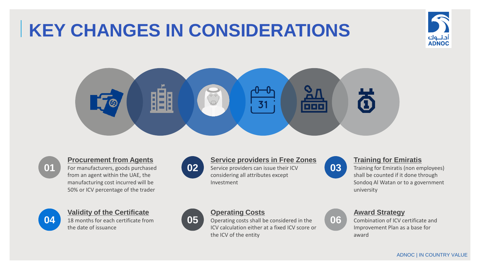# **KEY CHANGES IN CONSIDERATIONS**







#### **Procurement from Agents**

For manufacturers, goods purchased from an agent within the UAE, the manufacturing cost incurred will be 50% or ICV percentage of the trader



#### **Validity of the Certificate**

18 months for each certificate from the date of issuance



#### **Service providers in Free Zones**

Service providers can issue their ICV considering all attributes except Investment



#### **Training for Emiratis**

Training for Emiratis (non employees) shall be counted if it done through Sondoq Al Watan or to a government university



#### **Operating Costs**

Operating costs shall be considered in the ICV calculation either at a fixed ICV score or the ICV of the entity



#### **Award Strategy**

Combination of ICV certificate and Improvement Plan as a base for award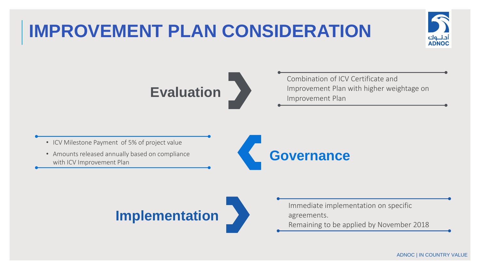# **IMPROVEMENT PLAN CONSIDERATION**





Combination of ICV Certificate and Improvement Plan with higher weightage on Improvement Plan

• ICV Milestone Payment of 5% of project value

• Amounts released annually based on compliance with ICV Improvement Plan





- Immediate implementation on specific agreements.
- Remaining to be applied by November 2018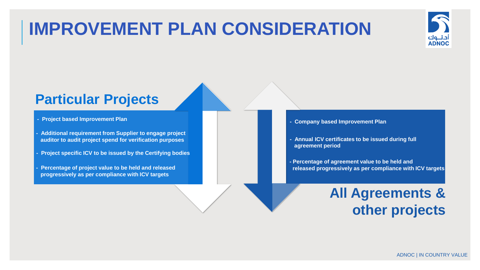#### **IMPROVEMENT PLAN CONSIDERATION**



#### **Particular Projects**

- **- Project based Improvement Plan**
- **- Additional requirement from Supplier to engage project auditor to audit project spend for verification purposes**
- **- Project specific ICV to be issued by the Certifying bodies**
- **- Percentage of project value to be held and released progressively as per compliance with ICV targets**
- **- Company based Improvement Plan**
- **- Annual ICV certificates to be issued during full agreement period**
- **- Percentage of agreement value to be held and released progressively as per compliance with ICV targets**

#### **All Agreements & other projects**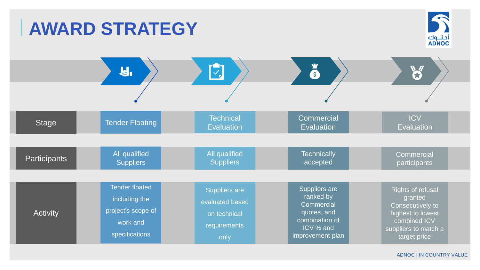#### $\mathcal{L}$ **AWARD STRATEGY** أدنــوك<br>ADNOC  $\sqrt{2}$  $\ddot{\mathbf{s}}$  $\mathbf{U}_1$ W **Commercial ICV Technical** Tender Floating Stage **Evaluation Evaluation Evaluation** All qualified All qualified **Technically Commercial Participants Suppliers** accepted **Suppliers** participants Tender floated Suppliers are Rights of refusal Suppliers are ranked by granted including the evaluated based **Commercial** Consecutively to project's scope of quotes, and **Activity** highest to lowest on technical combination of combined ICV work and requirements ICV % and suppliers to match a specifications improvement plan only target price

ADNOC | IN COUNTRY VALUE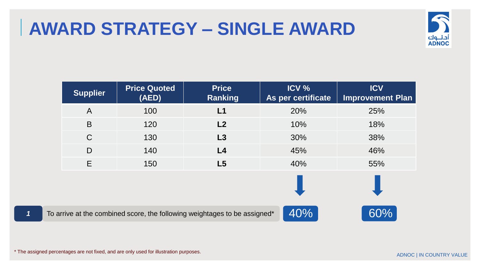## **AWARD STRATEGY – SINGLE AWARD**



|              | <b>Supplier</b> | <b>Price Quoted</b><br>(AED) | <b>Price</b><br><b>Ranking</b>                                            | ICV %<br>As per certificate | <b>ICV</b><br><b>Improvement Plan</b> |
|--------------|-----------------|------------------------------|---------------------------------------------------------------------------|-----------------------------|---------------------------------------|
|              | $\mathsf{A}$    | 100                          | L1                                                                        | 20%                         | 25%                                   |
|              | B               | 120                          | L2                                                                        | 10%                         | 18%                                   |
|              | $\mathsf{C}$    | 130                          | L3                                                                        | 30%                         | 38%                                   |
|              | D               | 140                          | L4                                                                        | 45%                         | 46%                                   |
|              | E               | 150                          | L5                                                                        | 40%                         | 55%                                   |
|              |                 |                              |                                                                           |                             |                                       |
| $\mathbf{1}$ |                 |                              | To arrive at the combined score, the following weightages to be assigned* | 40%                         | 60%                                   |

\* The assigned percentages are not fixed, and are only used for illustration purposes.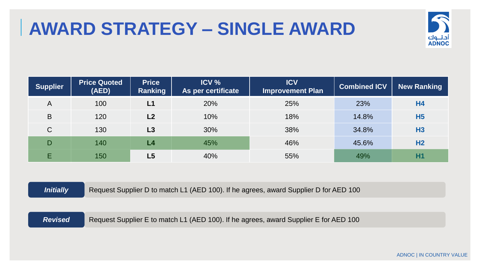### **AWARD STRATEGY – SINGLE AWARD**



| <b>Supplier</b> | <b>Price Quoted</b><br>(AED) | <b>Price</b><br>Ranking | ICV %<br>As per certificate | <b>ICV</b><br>Improvement Plan | <b>Combined ICV</b> | <b>New Ranking</b> |
|-----------------|------------------------------|-------------------------|-----------------------------|--------------------------------|---------------------|--------------------|
| $\overline{A}$  | 100                          | L1                      | 20%                         | 25%                            | 23%                 | H <sub>4</sub>     |
| B               | 120                          | L2                      | 10%                         | 18%                            | 14.8%               | H <sub>5</sub>     |
| C               | 130                          | L3                      | 30%                         | 38%                            | 34.8%               | <b>H3</b>          |
| D               | 140                          | L4                      | 45%                         | 46%                            | 45.6%               | H <sub>2</sub>     |
| E               | 150                          | L5                      | 40%                         | 55%                            | 49%                 | <b>H1</b>          |

**Initially** Request Supplier D to match L1 (AED 100). If he agrees, award Supplier D for AED 100

**Revised** Request Supplier E to match L1 (AED 100). If he agrees, award Supplier E for AED 100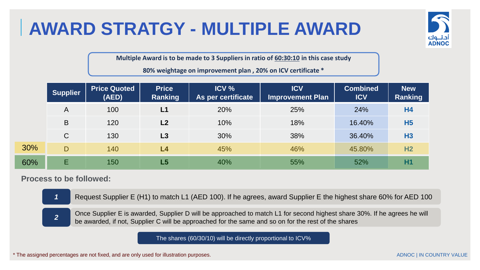# **AWARD STRATGY - MULTIPLE AWARD**



**Multiple Award is to be made to 3 Suppliers in ratio of 60:30:10 in this case study**

**80% weightage on improvement plan , 20% on ICV certificate \*** 

|     | <b>Supplier</b> | <b>Price Quoted</b><br>(AED) | <b>Price</b><br>Ranking | ICV %<br>As per certificate | <b>ICV</b><br><b>Improvement Plan</b> | <b>Combined</b><br><b>ICV</b> | <b>New</b><br><b>Ranking</b> |
|-----|-----------------|------------------------------|-------------------------|-----------------------------|---------------------------------------|-------------------------------|------------------------------|
|     | A               | 100                          | L1                      | 20%                         | 25%                                   | 24%                           | <b>H4</b>                    |
|     | B               | 120                          | L <sub>2</sub>          | 10%                         | 18%                                   | 16.40%                        | <b>H5</b>                    |
|     | $\mathsf{C}$    | 130                          | L3                      | 30%                         | 38%                                   | 36.40%                        | H <sub>3</sub>               |
| 30% | D               | 140                          | L4                      | 45%                         | 46%                                   | 45.80%                        | H <sub>2</sub>               |
| 60% | Е               | 150                          | L5                      | 40%                         | 55%                                   | 52%                           | <b>H1</b>                    |

#### **Process to be followed:**

30%

*1* Request Supplier E (H1) to match L1 (AED 100). If he agrees, award Supplier E the highest share 60% for AED 100

Once Supplier E is awarded, Supplier D will be approached to match L1 for second highest share 30%. If he agrees he will be awarded, if not, Supplier C will be approached for the same and so on for the rest of the shares *<sup>2</sup>*

The shares (60/30/10) will be directly proportional to ICV%

\* The assigned percentages are not fixed, and are only used for illustration purposes.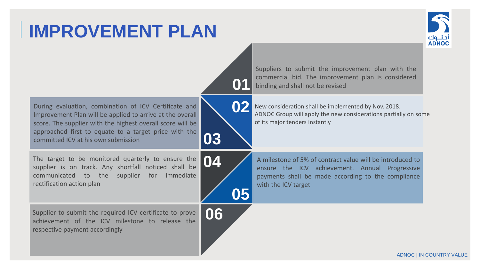# **IMPROVEMENT PLAN**





ADNOC | IN COUNTRY VALUE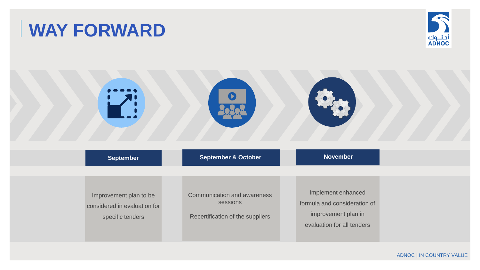## **WAY FORWARD**